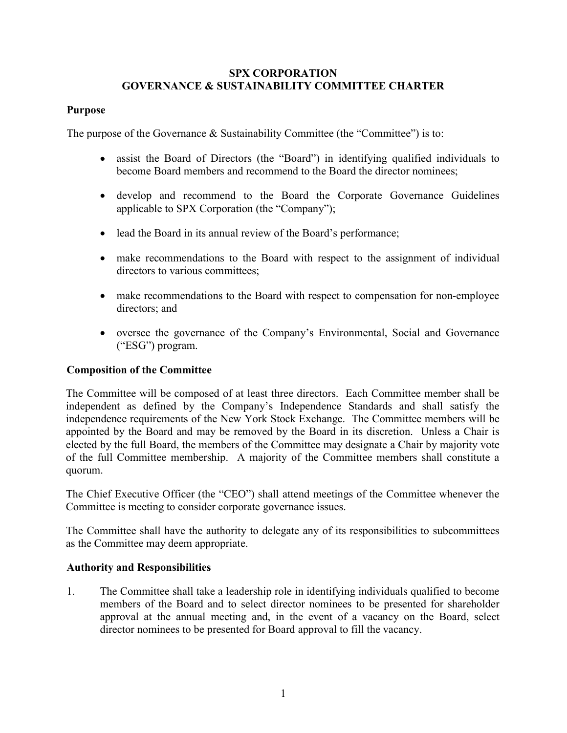## SPX CORPORATION GOVERNANCE & SUSTAINABILITY COMMITTEE CHARTER

## Purpose

The purpose of the Governance & Sustainability Committee (the "Committee") is to:

- assist the Board of Directors (the "Board") in identifying qualified individuals to become Board members and recommend to the Board the director nominees;
- develop and recommend to the Board the Corporate Governance Guidelines applicable to SPX Corporation (the "Company");
- lead the Board in its annual review of the Board's performance;
- make recommendations to the Board with respect to the assignment of individual directors to various committees;
- make recommendations to the Board with respect to compensation for non-employee directors; and
- oversee the governance of the Company's Environmental, Social and Governance ("ESG") program.

## Composition of the Committee

The Committee will be composed of at least three directors. Each Committee member shall be independent as defined by the Company's Independence Standards and shall satisfy the independence requirements of the New York Stock Exchange. The Committee members will be appointed by the Board and may be removed by the Board in its discretion. Unless a Chair is elected by the full Board, the members of the Committee may designate a Chair by majority vote of the full Committee membership. A majority of the Committee members shall constitute a quorum.

The Chief Executive Officer (the "CEO") shall attend meetings of the Committee whenever the Committee is meeting to consider corporate governance issues.

The Committee shall have the authority to delegate any of its responsibilities to subcommittees as the Committee may deem appropriate.

## Authority and Responsibilities

1. The Committee shall take a leadership role in identifying individuals qualified to become members of the Board and to select director nominees to be presented for shareholder approval at the annual meeting and, in the event of a vacancy on the Board, select director nominees to be presented for Board approval to fill the vacancy.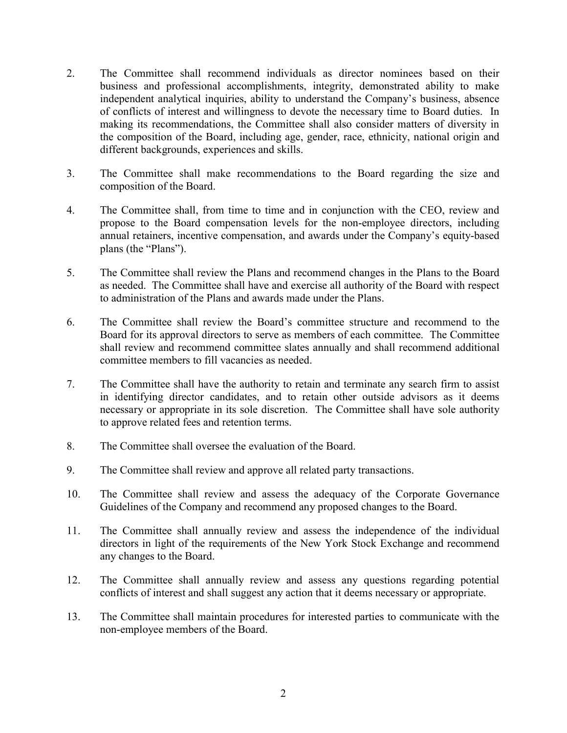- 2. The Committee shall recommend individuals as director nominees based on their business and professional accomplishments, integrity, demonstrated ability to make independent analytical inquiries, ability to understand the Company's business, absence of conflicts of interest and willingness to devote the necessary time to Board duties. In making its recommendations, the Committee shall also consider matters of diversity in the composition of the Board, including age, gender, race, ethnicity, national origin and different backgrounds, experiences and skills.
- 3. The Committee shall make recommendations to the Board regarding the size and composition of the Board.
- 4. The Committee shall, from time to time and in conjunction with the CEO, review and propose to the Board compensation levels for the non-employee directors, including annual retainers, incentive compensation, and awards under the Company's equity-based plans (the "Plans").
- 5. The Committee shall review the Plans and recommend changes in the Plans to the Board as needed. The Committee shall have and exercise all authority of the Board with respect to administration of the Plans and awards made under the Plans.
- 6. The Committee shall review the Board's committee structure and recommend to the Board for its approval directors to serve as members of each committee. The Committee shall review and recommend committee slates annually and shall recommend additional committee members to fill vacancies as needed.
- 7. The Committee shall have the authority to retain and terminate any search firm to assist in identifying director candidates, and to retain other outside advisors as it deems necessary or appropriate in its sole discretion. The Committee shall have sole authority to approve related fees and retention terms.
- 8. The Committee shall oversee the evaluation of the Board.
- 9. The Committee shall review and approve all related party transactions.
- 10. The Committee shall review and assess the adequacy of the Corporate Governance Guidelines of the Company and recommend any proposed changes to the Board.
- 11. The Committee shall annually review and assess the independence of the individual directors in light of the requirements of the New York Stock Exchange and recommend any changes to the Board.
- 12. The Committee shall annually review and assess any questions regarding potential conflicts of interest and shall suggest any action that it deems necessary or appropriate.
- 13. The Committee shall maintain procedures for interested parties to communicate with the non-employee members of the Board.